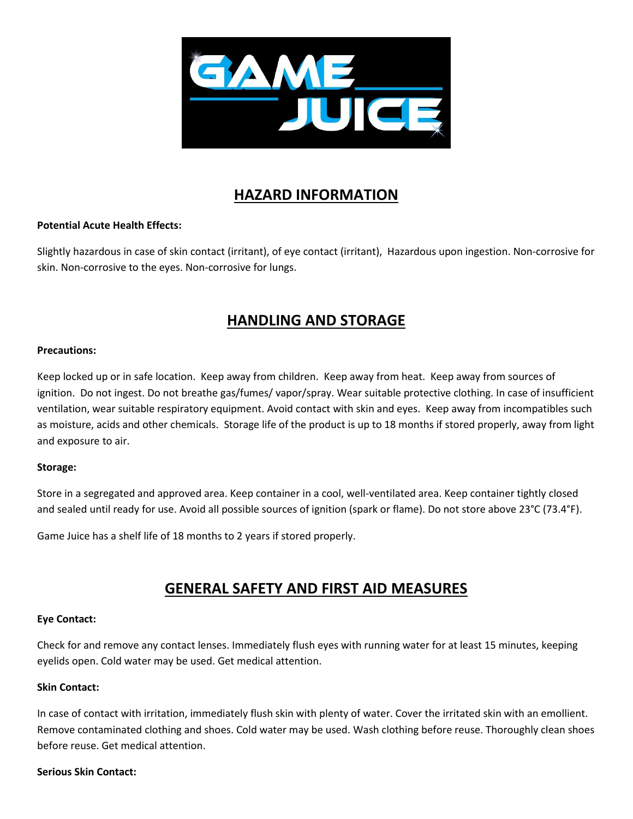

# **HAZARD INFORMATION**

### **Potential Acute Health Effects:**

Slightly hazardous in case of skin contact (irritant), of eye contact (irritant), Hazardous upon ingestion. Non-corrosive for skin. Non-corrosive to the eyes. Non-corrosive for lungs.

## **HANDLING AND STORAGE**

#### **Precautions:**

Keep locked up or in safe location. Keep away from children. Keep away from heat. Keep away from sources of ignition. Do not ingest. Do not breathe gas/fumes/ vapor/spray. Wear suitable protective clothing. In case of insufficient ventilation, wear suitable respiratory equipment. Avoid contact with skin and eyes. Keep away from incompatibles such as moisture, acids and other chemicals. Storage life of the product is up to 18 months if stored properly, away from light and exposure to air.

### **Storage:**

Store in a segregated and approved area. Keep container in a cool, well-ventilated area. Keep container tightly closed and sealed until ready for use. Avoid all possible sources of ignition (spark or flame). Do not store above 23°C (73.4°F).

Game Juice has a shelf life of 18 months to 2 years if stored properly.

## **GENERAL SAFETY AND FIRST AID MEASURES**

#### **Eye Contact:**

Check for and remove any contact lenses. Immediately flush eyes with running water for at least 15 minutes, keeping eyelids open. Cold water may be used. Get medical attention.

#### **Skin Contact:**

In case of contact with irritation, immediately flush skin with plenty of water. Cover the irritated skin with an emollient. Remove contaminated clothing and shoes. Cold water may be used. Wash clothing before reuse. Thoroughly clean shoes before reuse. Get medical attention.

#### **Serious Skin Contact:**